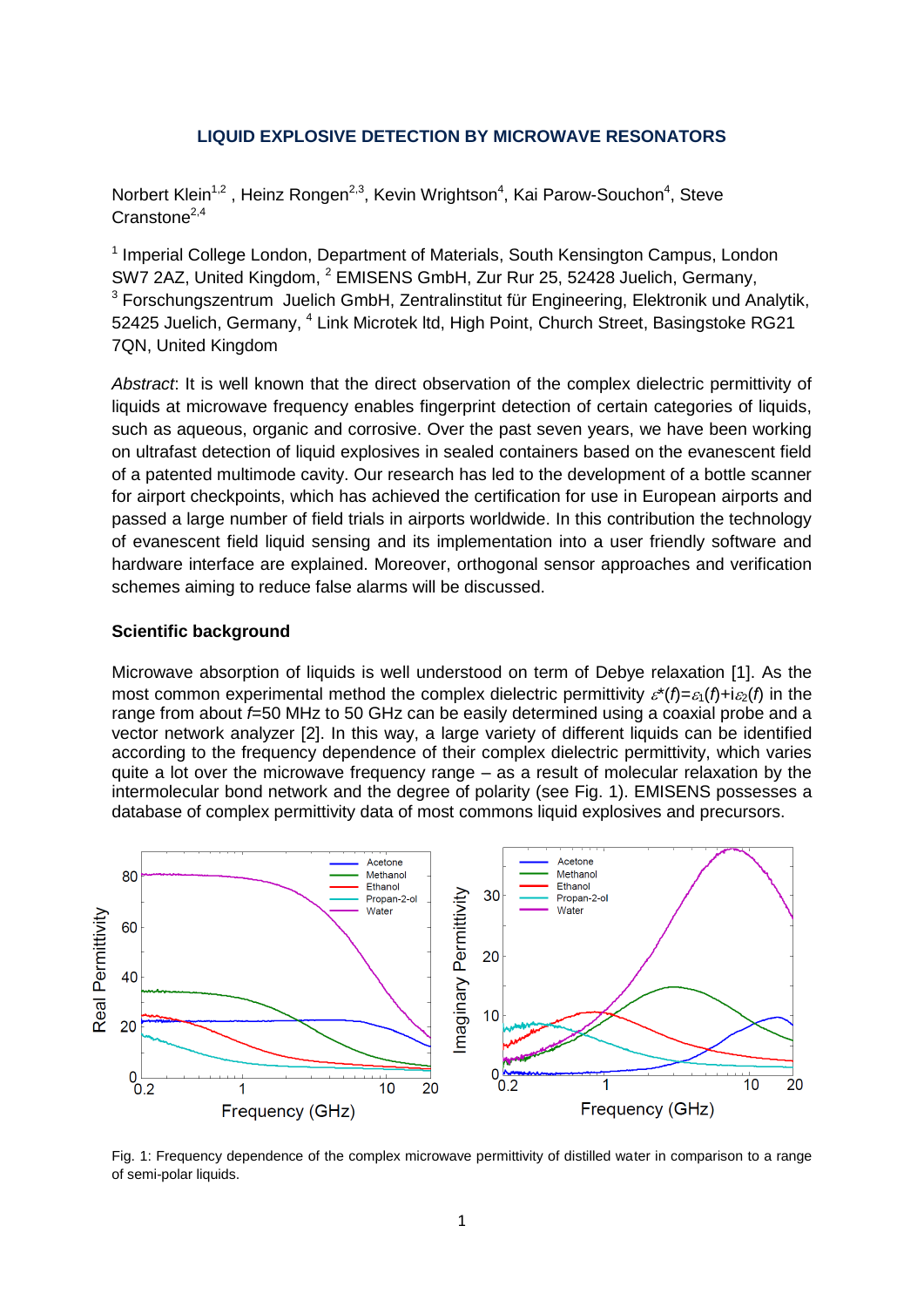#### **LIQUID EXPLOSIVE DETECTION BY MICROWAVE RESONATORS**

Norbert Klein<sup>1,2</sup>, Heinz Rongen<sup>2,3</sup>, Kevin Wrightson<sup>4</sup>, Kai Parow-Souchon<sup>4</sup>, Steve  $Cranstone<sup>2,4</sup>$ 

<sup>1</sup> Imperial College London, Department of Materials, South Kensington Campus, London SW7 2AZ, United Kingdom, <sup>2</sup> EMISENS GmbH, Zur Rur 25, 52428 Juelich, Germany,  $3$  Forschungszentrum Juelich GmbH, Zentralinstitut für Engineering, Elektronik und Analytik, 52425 Juelich, Germany, <sup>4</sup> Link Microtek Itd, High Point, Church Street, Basingstoke RG21 7QN, United Kingdom

*Abstract*: It is well known that the direct observation of the complex dielectric permittivity of liquids at microwave frequency enables fingerprint detection of certain categories of liquids, such as aqueous, organic and corrosive. Over the past seven years, we have been working on ultrafast detection of liquid explosives in sealed containers based on the evanescent field of a patented multimode cavity. Our research has led to the development of a bottle scanner for airport checkpoints, which has achieved the certification for use in European airports and passed a large number of field trials in airports worldwide. In this contribution the technology of evanescent field liquid sensing and its implementation into a user friendly software and hardware interface are explained. Moreover, orthogonal sensor approaches and verification schemes aiming to reduce false alarms will be discussed.

#### **Scientific background**

Microwave absorption of liquids is well understood on term of Debye relaxation [1]. As the most common experimental method the complex dielectric permittivity  $\zeta^*(f) = \zeta(f) + i\zeta(f)$  in the range from about *f*=50 MHz to 50 GHz can be easily determined using a coaxial probe and a vector network analyzer [2]. In this way, a large variety of different liquids can be identified according to the frequency dependence of their complex dielectric permittivity, which varies quite a lot over the microwave frequency range – as a result of molecular relaxation by the intermolecular bond network and the degree of polarity (see Fig. 1). EMISENS possesses a database of complex permittivity data of most commons liquid explosives and precursors.



Fig. 1: Frequency dependence of the complex microwave permittivity of distilled water in comparison to a range of semi-polar liquids.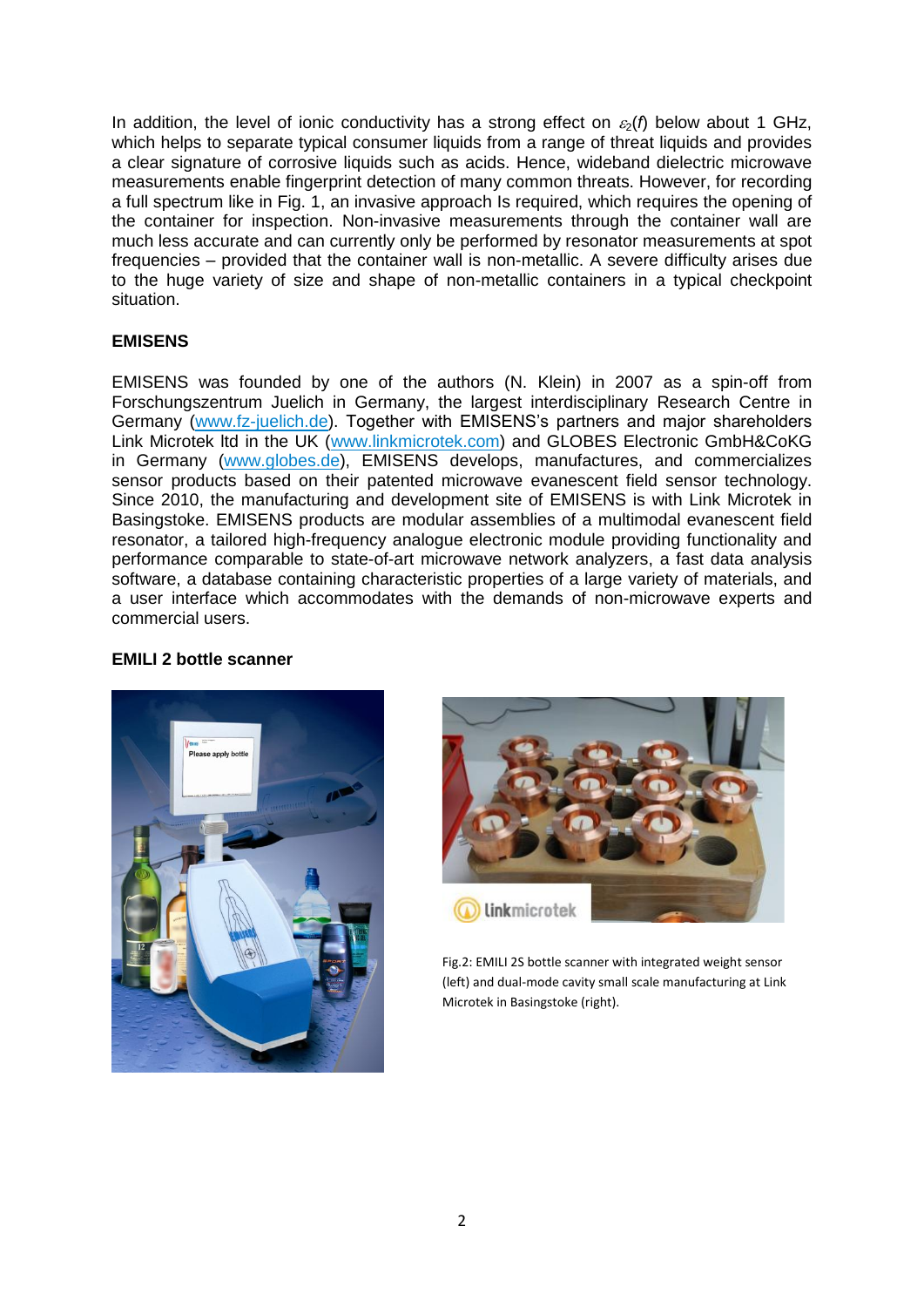In addition, the level of ionic conductivity has a strong effect on  $\varepsilon_2(f)$  below about 1 GHz, which helps to separate typical consumer liquids from a range of threat liquids and provides a clear signature of corrosive liquids such as acids. Hence, wideband dielectric microwave measurements enable fingerprint detection of many common threats. However, for recording a full spectrum like in Fig. 1, an invasive approach Is required, which requires the opening of the container for inspection. Non-invasive measurements through the container wall are much less accurate and can currently only be performed by resonator measurements at spot frequencies – provided that the container wall is non-metallic. A severe difficulty arises due to the huge variety of size and shape of non-metallic containers in a typical checkpoint situation.

## **EMISENS**

EMISENS was founded by one of the authors (N. Klein) in 2007 as a spin-off from Forschungszentrum Juelich in Germany, the largest interdisciplinary Research Centre in Germany [\(www.fz-juelich.de\)](http://www.fz-juelich.de/). Together with EMISENS's partners and major shareholders Link Microtek ltd in the UK [\(www.linkmicrotek.com\)](http://www.linkmicrotek.com/) and GLOBES Electronic GmbH&CoKG in Germany [\(www.globes.de\)](http://www.globes.de/), EMISENS develops, manufactures, and commercializes sensor products based on their patented microwave evanescent field sensor technology. Since 2010, the manufacturing and development site of EMISENS is with Link Microtek in Basingstoke. EMISENS products are modular assemblies of a multimodal evanescent field resonator, a tailored high-frequency analogue electronic module providing functionality and performance comparable to state-of-art microwave network analyzers, a fast data analysis software, a database containing characteristic properties of a large variety of materials, and a user interface which accommodates with the demands of non-microwave experts and commercial users.



### **EMILI 2 bottle scanner**



Fig.2: EMILI 2S bottle scanner with integrated weight sensor (left) and dual-mode cavity small scale manufacturing at Link Microtek in Basingstoke (right).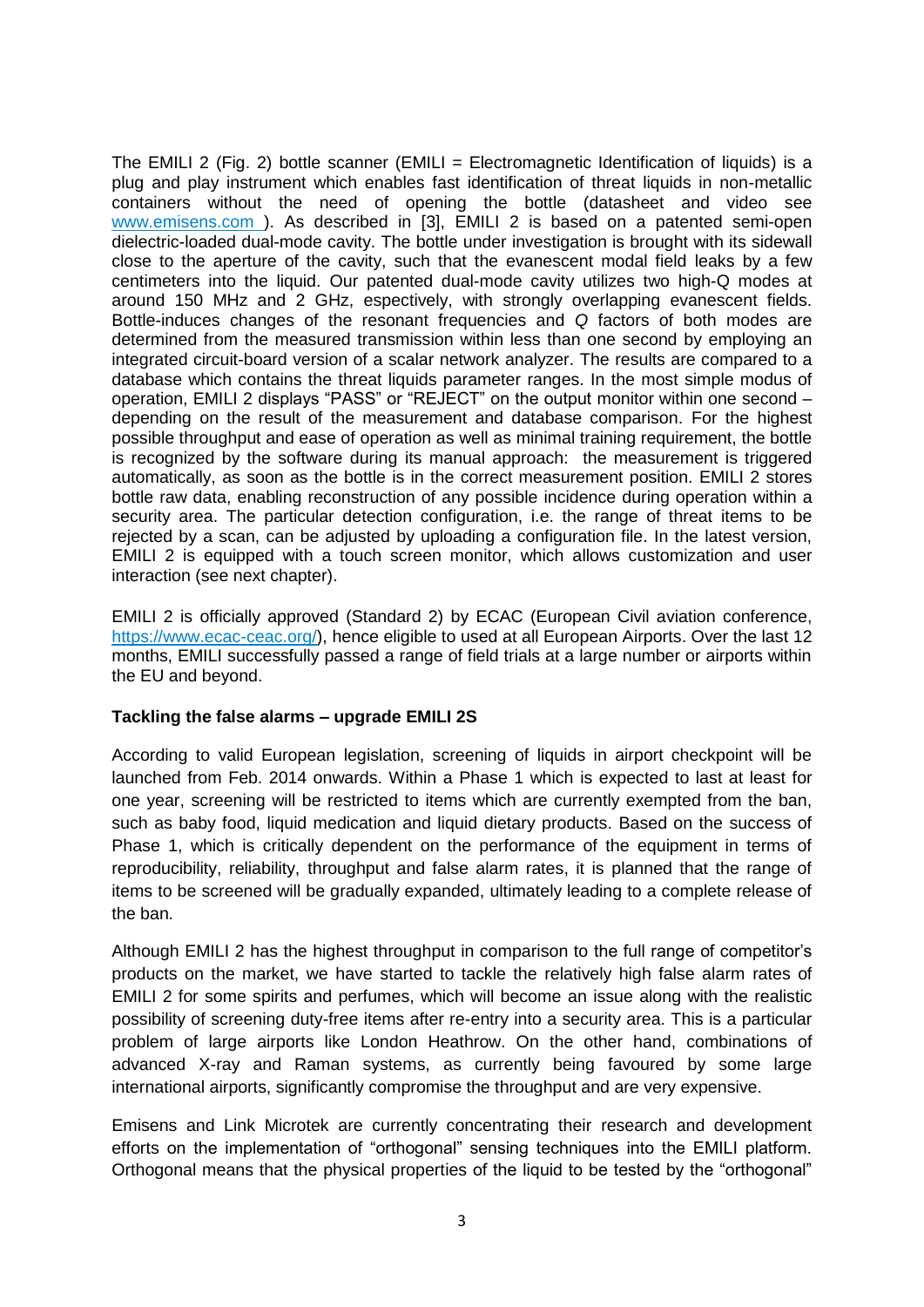The EMILI 2 (Fig. 2) bottle scanner (EMILI = Electromagnetic Identification of liquids) is a plug and play instrument which enables fast identification of threat liquids in non-metallic containers without the need of opening the bottle (datasheet and video see www.emisens.com ). As described in [3], EMILI 2 is based on a patented semi-open dielectric-loaded dual-mode cavity. The bottle under investigation is brought with its sidewall close to the aperture of the cavity, such that the evanescent modal field leaks by a few centimeters into the liquid. Our patented dual-mode cavity utilizes two high-Q modes at around 150 MHz and 2 GHz, espectively, with strongly overlapping evanescent fields. Bottle-induces changes of the resonant frequencies and *Q* factors of both modes are determined from the measured transmission within less than one second by employing an integrated circuit-board version of a scalar network analyzer. The results are compared to a database which contains the threat liquids parameter ranges. In the most simple modus of operation, EMILI 2 displays "PASS" or "REJECT" on the output monitor within one second – depending on the result of the measurement and database comparison. For the highest possible throughput and ease of operation as well as minimal training requirement, the bottle is recognized by the software during its manual approach: the measurement is triggered automatically, as soon as the bottle is in the correct measurement position. EMILI 2 stores bottle raw data, enabling reconstruction of any possible incidence during operation within a security area. The particular detection configuration, i.e. the range of threat items to be rejected by a scan, can be adjusted by uploading a configuration file. In the latest version, EMILI 2 is equipped with a touch screen monitor, which allows customization and user interaction (see next chapter).

EMILI 2 is officially approved (Standard 2) by ECAC (European Civil aviation conference, [https://www.ecac-ceac.org/\)](https://www.ecac-ceac.org/), hence eligible to used at all European Airports. Over the last 12 months, EMILI successfully passed a range of field trials at a large number or airports within the EU and beyond.

### **Tackling the false alarms – upgrade EMILI 2S**

According to valid European legislation, screening of liquids in airport checkpoint will be launched from Feb. 2014 onwards. Within a Phase 1 which is expected to last at least for one year, screening will be restricted to items which are currently exempted from the ban, such as baby food, liquid medication and liquid dietary products. Based on the success of Phase 1, which is critically dependent on the performance of the equipment in terms of reproducibility, reliability, throughput and false alarm rates, it is planned that the range of items to be screened will be gradually expanded, ultimately leading to a complete release of the ban.

Although EMILI 2 has the highest throughput in comparison to the full range of competitor's products on the market, we have started to tackle the relatively high false alarm rates of EMILI 2 for some spirits and perfumes, which will become an issue along with the realistic possibility of screening duty-free items after re-entry into a security area. This is a particular problem of large airports like London Heathrow. On the other hand, combinations of advanced X-ray and Raman systems, as currently being favoured by some large international airports, significantly compromise the throughput and are very expensive.

Emisens and Link Microtek are currently concentrating their research and development efforts on the implementation of "orthogonal" sensing techniques into the EMILI platform. Orthogonal means that the physical properties of the liquid to be tested by the "orthogonal"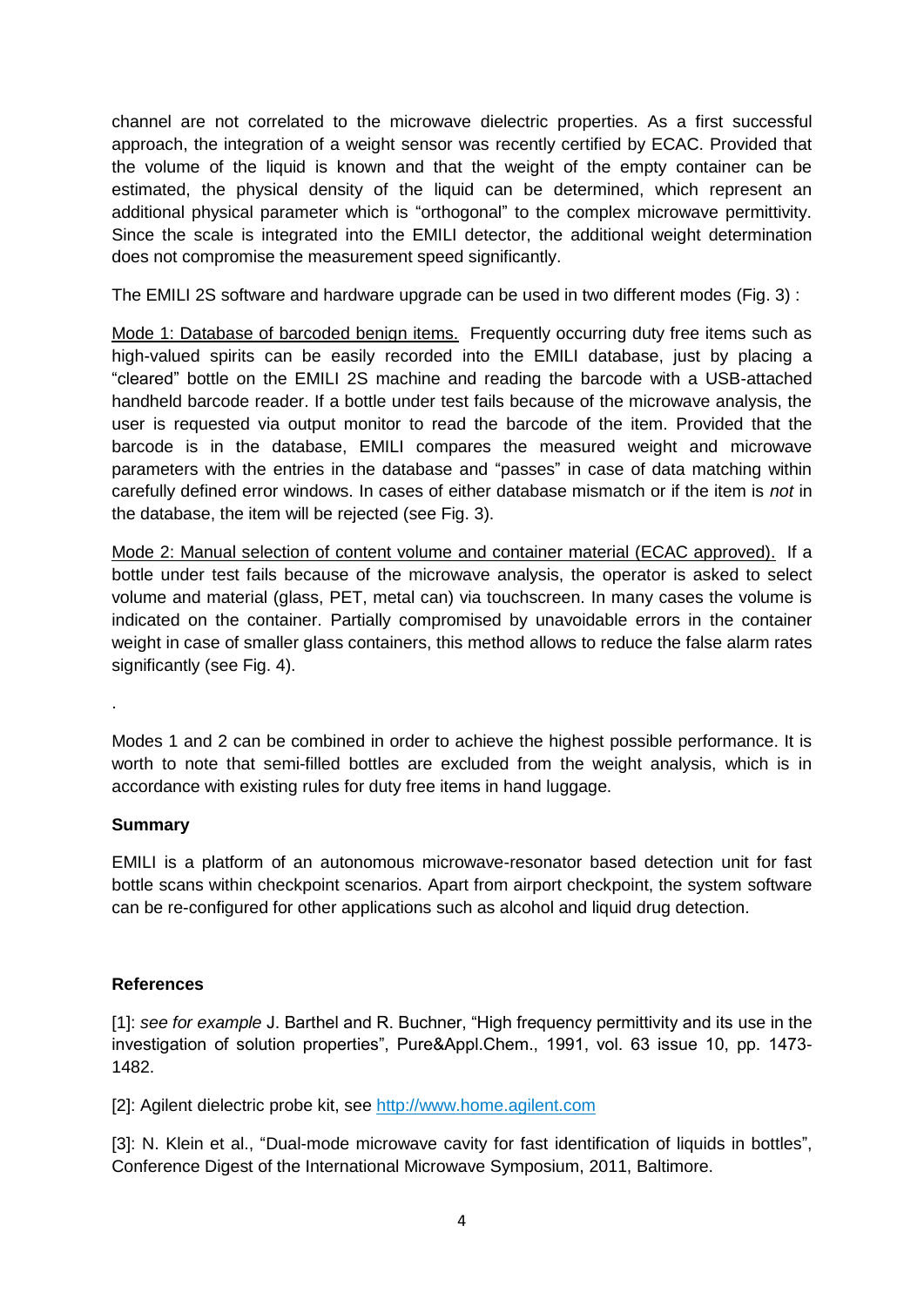channel are not correlated to the microwave dielectric properties. As a first successful approach, the integration of a weight sensor was recently certified by ECAC. Provided that the volume of the liquid is known and that the weight of the empty container can be estimated, the physical density of the liquid can be determined, which represent an additional physical parameter which is "orthogonal" to the complex microwave permittivity. Since the scale is integrated into the EMILI detector, the additional weight determination does not compromise the measurement speed significantly.

The EMILI 2S software and hardware upgrade can be used in two different modes (Fig. 3) :

Mode 1: Database of barcoded benign items. Frequently occurring duty free items such as high-valued spirits can be easily recorded into the EMILI database, just by placing a "cleared" bottle on the EMILI 2S machine and reading the barcode with a USB-attached handheld barcode reader. If a bottle under test fails because of the microwave analysis, the user is requested via output monitor to read the barcode of the item. Provided that the barcode is in the database, EMILI compares the measured weight and microwave parameters with the entries in the database and "passes" in case of data matching within carefully defined error windows. In cases of either database mismatch or if the item is *not* in the database, the item will be rejected (see Fig. 3).

Mode 2: Manual selection of content volume and container material (ECAC approved). If a bottle under test fails because of the microwave analysis, the operator is asked to select volume and material (glass, PET, metal can) via touchscreen. In many cases the volume is indicated on the container. Partially compromised by unavoidable errors in the container weight in case of smaller glass containers, this method allows to reduce the false alarm rates significantly (see Fig. 4).

Modes 1 and 2 can be combined in order to achieve the highest possible performance. It is worth to note that semi-filled bottles are excluded from the weight analysis, which is in accordance with existing rules for duty free items in hand luggage.

### **Summary**

.

EMILI is a platform of an autonomous microwave-resonator based detection unit for fast bottle scans within checkpoint scenarios. Apart from airport checkpoint, the system software can be re-configured for other applications such as alcohol and liquid drug detection.

# **References**

[1]: *see for example* J. Barthel and R. Buchner, "High frequency permittivity and its use in the investigation of solution properties", Pure&Appl.Chem., 1991, vol. 63 issue 10, pp. 1473- 1482.

[2]: Agilent dielectric probe kit, see [http://www.home.agilent.com](http://www.home.agilent.com/)

[3]: N. Klein et al., "Dual-mode microwave cavity for fast identification of liquids in bottles", Conference Digest of the International Microwave Symposium, 2011, Baltimore.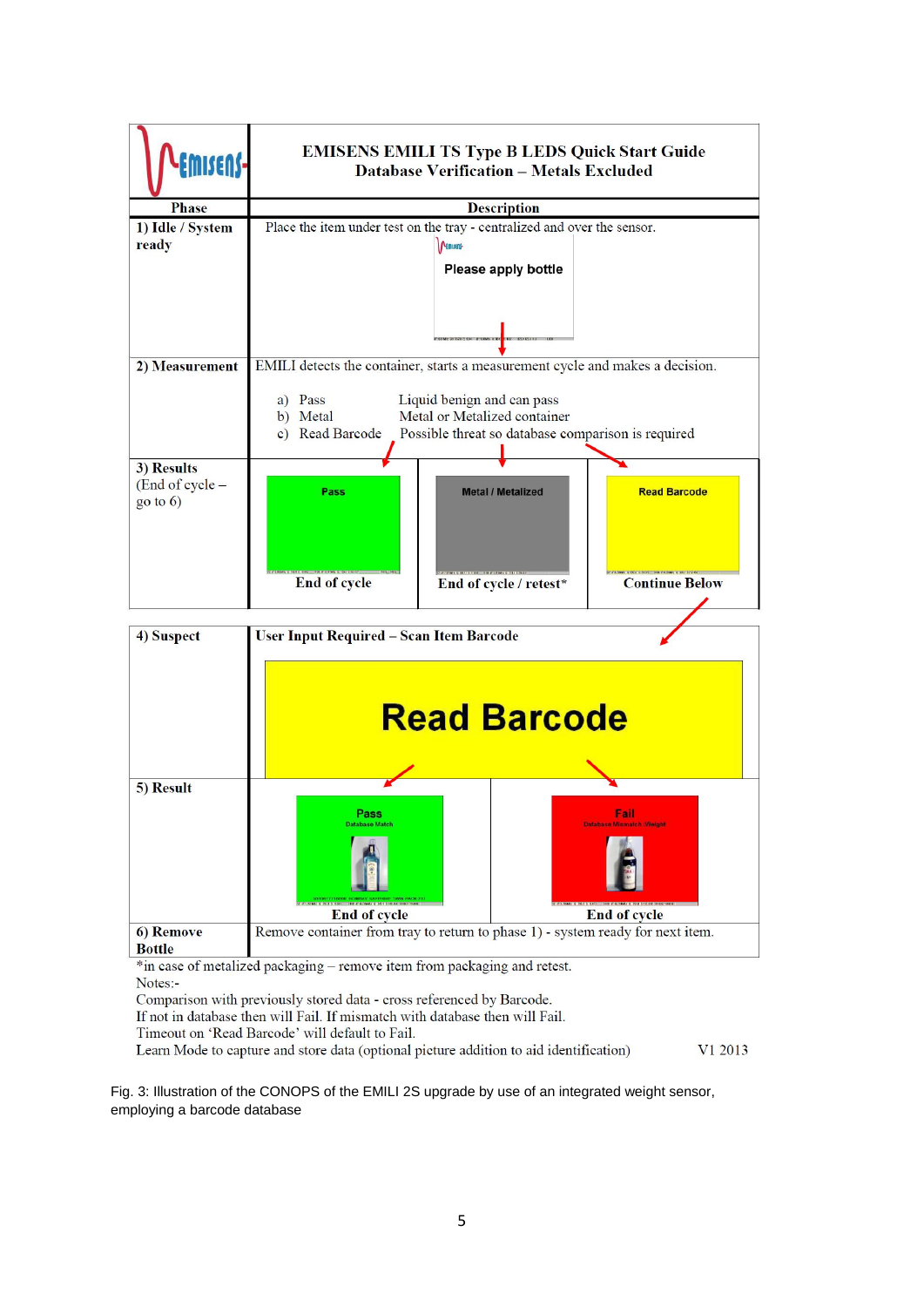

Comparison with previously stored data - cross referenced by Barcode.

If not in database then will Fail. If mismatch with database then will Fail.

Timeout on 'Read Barcode' will default to Fail.

Learn Mode to capture and store data (optional picture addition to aid identification) V1 2013

Fig. 3: Illustration of the CONOPS of the EMILI 2S upgrade by use of an integrated weight sensor, employing a barcode database